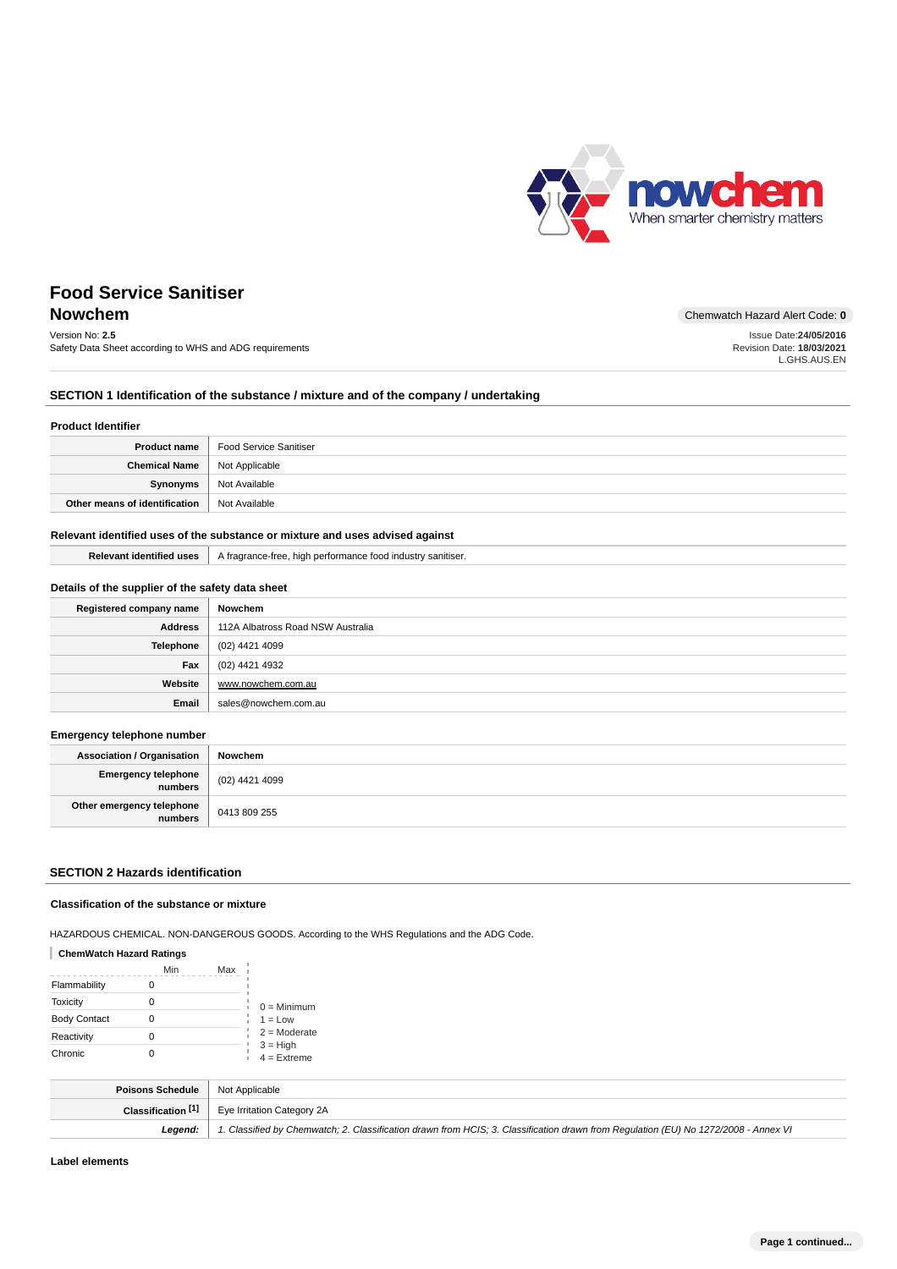

L.GHS.AUS.EN

# **Food Service Sanitiser**

# **Nowchem** Chemwatch Hazard Alert Code: 0

Version No: **2.5** Safety Data Sheet according to WHS and ADG requirements Issue Date:**24/05/2016** Revision Date: **18/03/2021**

# **SECTION 1 Identification of the substance / mixture and of the company / undertaking**

#### **Product Identifier**

|                                       | <b>Product name</b>   Food Service Sanitiser |
|---------------------------------------|----------------------------------------------|
| <b>Chemical Name</b>   Not Applicable |                                              |
| Synonyms                              | Not Available                                |
| Other means of identification         | Not Available                                |

# **Relevant identified uses of the substance or mixture and uses advised against**

|  | <b>Relevant identified uses</b>   A fragrance-free, high performance food industry sanitiser. |
|--|-----------------------------------------------------------------------------------------------|
|--|-----------------------------------------------------------------------------------------------|

## **Details of the supplier of the safety data sheet**

| Registered company name | Nowchem                           |
|-------------------------|-----------------------------------|
| <b>Address</b>          | 112A Albatross Road NSW Australia |
| <b>Telephone</b>        | (02) 4421 4099                    |
| Fax                     | (02) 4421 4932                    |
| Website                 | www.nowchem.com.au                |
| Email                   | sales@nowchem.com.au              |

#### **Emergency telephone number**

| <b>Association / Organisation</b>    | Nowchem        |
|--------------------------------------|----------------|
| Emergency telephone<br>  numbers     | (02) 4421 4099 |
| Other emergency telephone<br>numbers | 0413 809 255   |

## **SECTION 2 Hazards identification**

#### **Classification of the substance or mixture**

HAZARDOUS CHEMICAL. NON-DANGEROUS GOODS. According to the WHS Regulations and the ADG Code.

## **ChemWatch Hazard Ratings**

|                     | Min | Max |                             |
|---------------------|-----|-----|-----------------------------|
| Flammability        |     |     |                             |
| Toxicity            |     |     | $0 =$ Minimum               |
| <b>Body Contact</b> |     |     | $1 = Low$                   |
| Reactivity          |     |     | $2 =$ Moderate              |
| Chronic             |     |     | $3 = High$<br>$4 =$ Extreme |

| <b>Poisons Schedule</b>   Not Applicable |                                                                                                                                     |
|------------------------------------------|-------------------------------------------------------------------------------------------------------------------------------------|
|                                          | <b>Classification [1]</b> Eye Irritation Category 2A                                                                                |
| Leaend:                                  | 1. Classified by Chemwatch; 2. Classification drawn from HCIS; 3. Classification drawn from Requlation (EU) No 1272/2008 - Annex VI |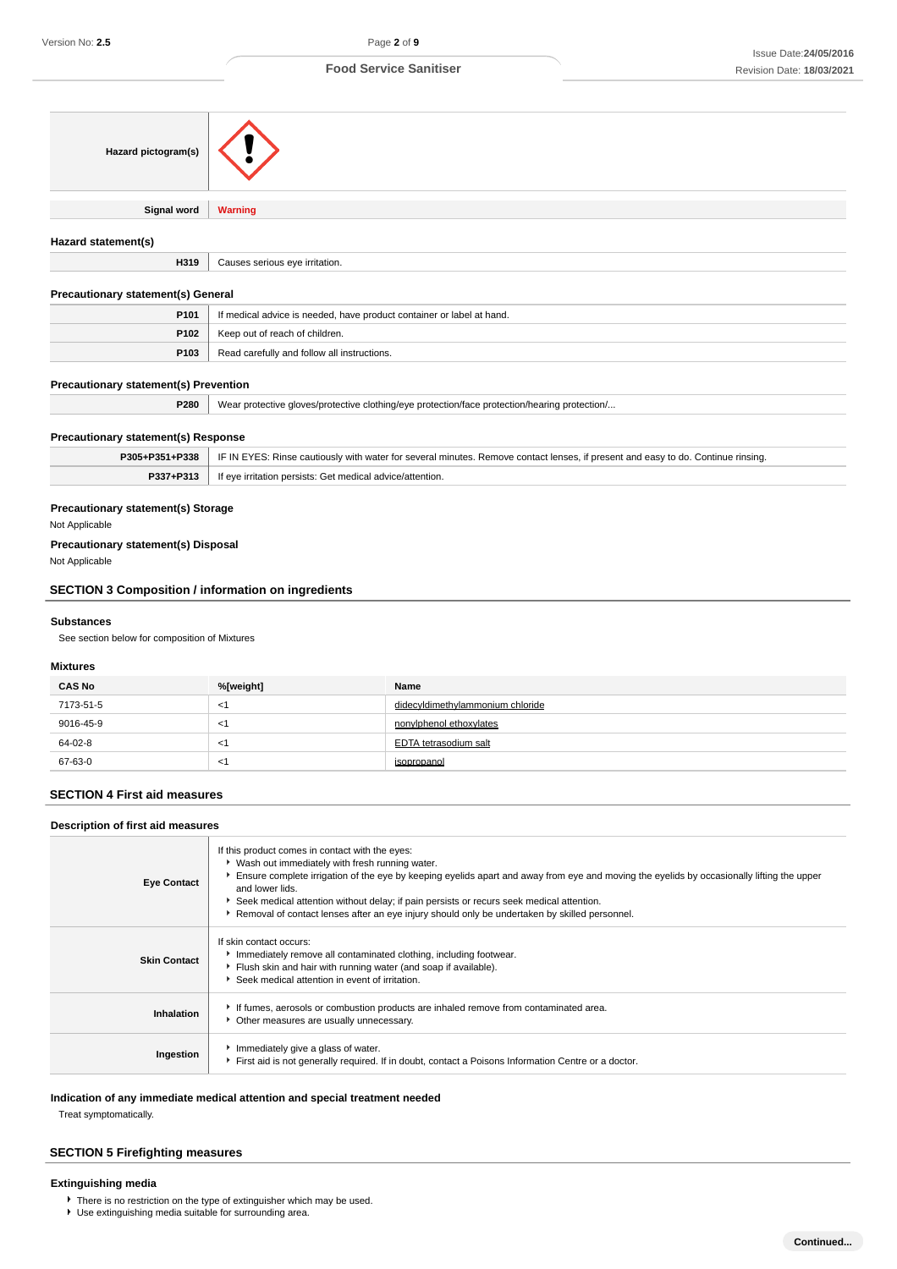| Hazard pictogram(s)                                                |                                                                                                                        |                                                                                                                                                                                                                                                                                                                                          |
|--------------------------------------------------------------------|------------------------------------------------------------------------------------------------------------------------|------------------------------------------------------------------------------------------------------------------------------------------------------------------------------------------------------------------------------------------------------------------------------------------------------------------------------------------|
| Signal word                                                        | <b>Warning</b>                                                                                                         |                                                                                                                                                                                                                                                                                                                                          |
| Hazard statement(s)                                                |                                                                                                                        |                                                                                                                                                                                                                                                                                                                                          |
| H319                                                               | Causes serious eye irritation.                                                                                         |                                                                                                                                                                                                                                                                                                                                          |
|                                                                    |                                                                                                                        |                                                                                                                                                                                                                                                                                                                                          |
| <b>Precautionary statement(s) General</b><br>P101                  |                                                                                                                        |                                                                                                                                                                                                                                                                                                                                          |
| P102                                                               | If medical advice is needed, have product container or label at hand.                                                  |                                                                                                                                                                                                                                                                                                                                          |
| P103                                                               | Keep out of reach of children.<br>Read carefully and follow all instructions.                                          |                                                                                                                                                                                                                                                                                                                                          |
|                                                                    |                                                                                                                        |                                                                                                                                                                                                                                                                                                                                          |
| <b>Precautionary statement(s) Prevention</b>                       |                                                                                                                        |                                                                                                                                                                                                                                                                                                                                          |
| P280                                                               |                                                                                                                        | Wear protective gloves/protective clothing/eye protection/face protection/hearing protection/                                                                                                                                                                                                                                            |
| <b>Precautionary statement(s) Response</b>                         |                                                                                                                        |                                                                                                                                                                                                                                                                                                                                          |
| P305+P351+P338                                                     |                                                                                                                        | IF IN EYES: Rinse cautiously with water for several minutes. Remove contact lenses, if present and easy to do. Continue rinsing.                                                                                                                                                                                                         |
| P337+P313                                                          | If eye irritation persists: Get medical advice/attention.                                                              |                                                                                                                                                                                                                                                                                                                                          |
| <b>SECTION 3 Composition / information on ingredients</b>          |                                                                                                                        |                                                                                                                                                                                                                                                                                                                                          |
| <b>Substances</b><br>See section below for composition of Mixtures |                                                                                                                        |                                                                                                                                                                                                                                                                                                                                          |
| <b>Mixtures</b>                                                    |                                                                                                                        |                                                                                                                                                                                                                                                                                                                                          |
| <b>CAS No</b>                                                      | %[weight]                                                                                                              | Name                                                                                                                                                                                                                                                                                                                                     |
| 7173-51-5                                                          | $<$ 1                                                                                                                  | didecyldimethylammonium chloride                                                                                                                                                                                                                                                                                                         |
| 9016-45-9                                                          | $<$ 1                                                                                                                  | nonviphenol ethoxylates                                                                                                                                                                                                                                                                                                                  |
| 64-02-8                                                            | $<$ 1                                                                                                                  | <b>EDTA</b> tetrasodium salt                                                                                                                                                                                                                                                                                                             |
| 67-63-0                                                            | $<$ 1                                                                                                                  | isopropanol                                                                                                                                                                                                                                                                                                                              |
| <b>SECTION 4 First aid measures</b>                                |                                                                                                                        |                                                                                                                                                                                                                                                                                                                                          |
| Description of first aid measures                                  |                                                                                                                        |                                                                                                                                                                                                                                                                                                                                          |
| <b>Eye Contact</b>                                                 | If this product comes in contact with the eyes:<br>* Wash out immediately with fresh running water.<br>and lower lids. | Ensure complete irrigation of the eye by keeping eyelids apart and away from eye and moving the eyelids by occasionally lifting the upper<br>Seek medical attention without delay; if pain persists or recurs seek medical attention.<br>▶ Removal of contact lenses after an eye injury should only be undertaken by skilled personnel. |
| <b>Skin Contact</b>                                                | If skin contact occurs:<br>Immediately remove all contaminated clothing, including footwear.                           |                                                                                                                                                                                                                                                                                                                                          |

| <b>Skin Contact</b> | Immediately remove all contaminated clothing, including footwear.<br>Flush skin and hair with running water (and soap if available).<br>Seek medical attention in event of irritation. |
|---------------------|----------------------------------------------------------------------------------------------------------------------------------------------------------------------------------------|
| Inhalation          | If fumes, aerosols or combustion products are inhaled remove from contaminated area.<br>• Other measures are usually unnecessary.                                                      |
| Ingestion           | Immediately give a glass of water.<br>First aid is not generally required. If in doubt, contact a Poisons Information Centre or a doctor.                                              |

**Indication of any immediate medical attention and special treatment needed**

Treat symptomatically.

# **SECTION 5 Firefighting measures**

# **Extinguishing media**

- There is no restriction on the type of extinguisher which may be used.
- Use extinguishing media suitable for surrounding area.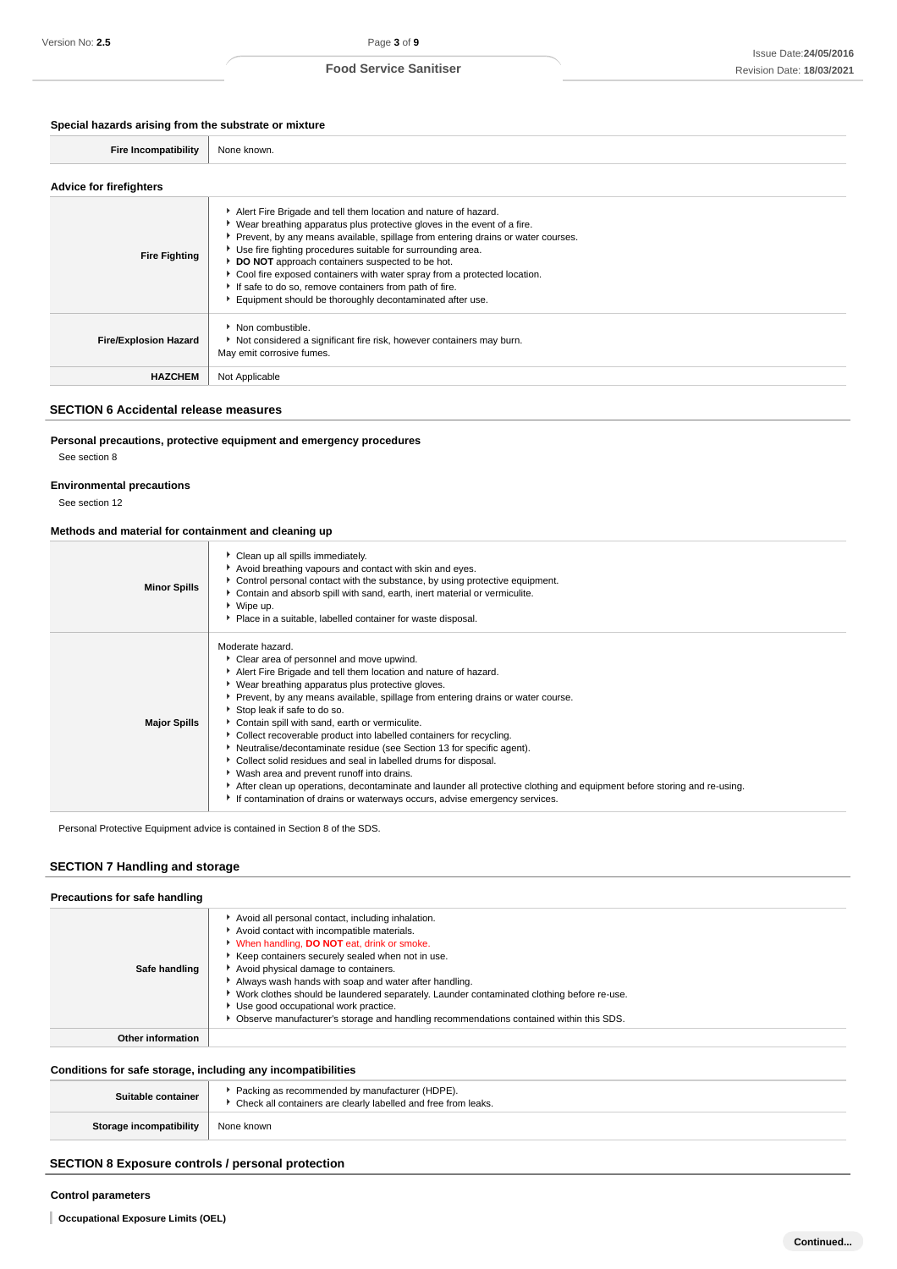# **Special hazards arising from the substrate or mixture**

| =n | Nı |
|----|----|
|    |    |

# **Advice for firefighters**

| <b>Fire Fighting</b>         | Alert Fire Brigade and tell them location and nature of hazard.<br>► Wear breathing apparatus plus protective gloves in the event of a fire.<br>Prevent, by any means available, spillage from entering drains or water courses.<br>Use fire fighting procedures suitable for surrounding area.<br>DO NOT approach containers suspected to be hot.<br>• Cool fire exposed containers with water spray from a protected location.<br>If safe to do so, remove containers from path of fire.<br>Equipment should be thoroughly decontaminated after use. |
|------------------------------|--------------------------------------------------------------------------------------------------------------------------------------------------------------------------------------------------------------------------------------------------------------------------------------------------------------------------------------------------------------------------------------------------------------------------------------------------------------------------------------------------------------------------------------------------------|
| <b>Fire/Explosion Hazard</b> | • Non combustible.<br>Not considered a significant fire risk, however containers may burn.<br>May emit corrosive fumes.                                                                                                                                                                                                                                                                                                                                                                                                                                |
| <b>HAZCHEM</b>               | Not Applicable                                                                                                                                                                                                                                                                                                                                                                                                                                                                                                                                         |

## **SECTION 6 Accidental release measures**

#### **Personal precautions, protective equipment and emergency procedures**

See section 8

#### **Environmental precautions**

See section 12

#### **Methods and material for containment and cleaning up**

| <b>Minor Spills</b> | Clean up all spills immediately.<br>Avoid breathing vapours and contact with skin and eyes.<br>Control personal contact with the substance, by using protective equipment.<br>Contain and absorb spill with sand, earth, inert material or vermiculite.<br>$\triangleright$ Wipe up.<br>Place in a suitable, labelled container for waste disposal.                                                                                                                                                                                                                                                                                                                                                                                                                                                                                      |
|---------------------|------------------------------------------------------------------------------------------------------------------------------------------------------------------------------------------------------------------------------------------------------------------------------------------------------------------------------------------------------------------------------------------------------------------------------------------------------------------------------------------------------------------------------------------------------------------------------------------------------------------------------------------------------------------------------------------------------------------------------------------------------------------------------------------------------------------------------------------|
| <b>Major Spills</b> | Moderate hazard.<br>Clear area of personnel and move upwind.<br>Alert Fire Brigade and tell them location and nature of hazard.<br>▶ Wear breathing apparatus plus protective gloves.<br>▶ Prevent, by any means available, spillage from entering drains or water course.<br>Stop leak if safe to do so.<br>Contain spill with sand, earth or vermiculite.<br>• Collect recoverable product into labelled containers for recycling.<br>Neutralise/decontaminate residue (see Section 13 for specific agent).<br>Collect solid residues and seal in labelled drums for disposal.<br>▶ Wash area and prevent runoff into drains.<br>After clean up operations, decontaminate and launder all protective clothing and equipment before storing and re-using.<br>If contamination of drains or waterways occurs, advise emergency services. |

Personal Protective Equipment advice is contained in Section 8 of the SDS.

# **SECTION 7 Handling and storage**

| Precautions for safe handling |                                                                                                                                                                                                                                                                                                                                                                                                                                                                                                                                       |
|-------------------------------|---------------------------------------------------------------------------------------------------------------------------------------------------------------------------------------------------------------------------------------------------------------------------------------------------------------------------------------------------------------------------------------------------------------------------------------------------------------------------------------------------------------------------------------|
| Safe handling                 | Avoid all personal contact, including inhalation.<br>Avoid contact with incompatible materials.<br>V When handling, DO NOT eat, drink or smoke.<br>Keep containers securely sealed when not in use.<br>Avoid physical damage to containers.<br>Always wash hands with soap and water after handling.<br>► Work clothes should be laundered separately. Launder contaminated clothing before re-use.<br>Use good occupational work practice.<br>Observe manufacturer's storage and handling recommendations contained within this SDS. |
| Other information             |                                                                                                                                                                                                                                                                                                                                                                                                                                                                                                                                       |

# **Conditions for safe storage, including any incompatibilities**

| Suitable container      | * Packing as recommended by manufacturer (HDPE).<br>▶ Check all containers are clearly labelled and free from leaks. |
|-------------------------|----------------------------------------------------------------------------------------------------------------------|
| Storage incompatibility | None known                                                                                                           |

# **SECTION 8 Exposure controls / personal protection**

#### **Control parameters**

**Occupational Exposure Limits (OEL)**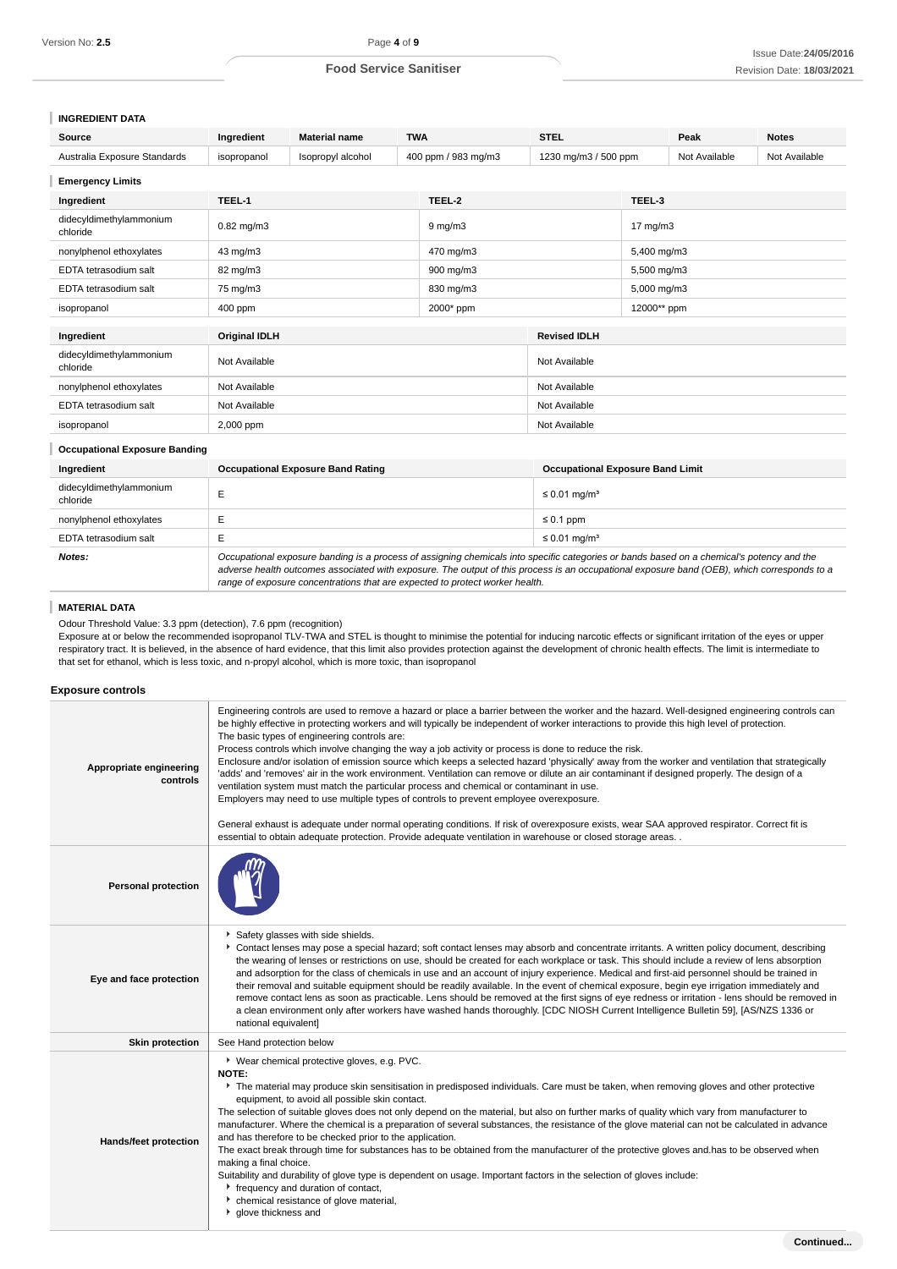# **INGREDIENT DATA**

| Source                               | Ingredient           | <b>Material name</b><br><b>TWA</b>       |                  | <b>STEL</b>                                                                                                                                                                                                                                                                                                                                                              |                                         | Peak              | <b>Notes</b>  |               |
|--------------------------------------|----------------------|------------------------------------------|------------------|--------------------------------------------------------------------------------------------------------------------------------------------------------------------------------------------------------------------------------------------------------------------------------------------------------------------------------------------------------------------------|-----------------------------------------|-------------------|---------------|---------------|
| Australia Exposure Standards         | isopropanol          | Isopropyl alcohol                        |                  | 400 ppm / 983 mg/m3                                                                                                                                                                                                                                                                                                                                                      | 1230 mg/m3 / 500 ppm                    |                   | Not Available | Not Available |
| <b>Emergency Limits</b>              |                      |                                          |                  |                                                                                                                                                                                                                                                                                                                                                                          |                                         |                   |               |               |
| Ingredient                           | TEEL-1               |                                          |                  | TEEL-2                                                                                                                                                                                                                                                                                                                                                                   |                                         | TEEL-3            |               |               |
| didecyldimethylammonium<br>chloride  | $0.82$ mg/m $3$      |                                          | $9 \text{ mg/m}$ |                                                                                                                                                                                                                                                                                                                                                                          |                                         | $17 \text{ mg/m}$ |               |               |
| nonylphenol ethoxylates              | 43 mg/m3             |                                          | 470 mg/m3        |                                                                                                                                                                                                                                                                                                                                                                          | 5,400 mg/m3                             |                   |               |               |
| EDTA tetrasodium salt                | 82 mg/m3             |                                          | 900 mg/m3        |                                                                                                                                                                                                                                                                                                                                                                          | 5,500 mg/m3                             |                   |               |               |
| EDTA tetrasodium salt                | 75 mg/m3             |                                          |                  | 830 mg/m3                                                                                                                                                                                                                                                                                                                                                                |                                         | 5,000 mg/m3       |               |               |
| isopropanol                          | 400 ppm              |                                          |                  | 2000* ppm                                                                                                                                                                                                                                                                                                                                                                |                                         | 12000** ppm       |               |               |
| Ingredient                           | <b>Original IDLH</b> |                                          |                  |                                                                                                                                                                                                                                                                                                                                                                          | <b>Revised IDLH</b>                     |                   |               |               |
| didecyldimethylammonium<br>chloride  | Not Available        |                                          |                  | Not Available                                                                                                                                                                                                                                                                                                                                                            |                                         |                   |               |               |
| nonylphenol ethoxylates              | Not Available        |                                          |                  | Not Available                                                                                                                                                                                                                                                                                                                                                            |                                         |                   |               |               |
| EDTA tetrasodium salt                | Not Available        |                                          |                  | Not Available                                                                                                                                                                                                                                                                                                                                                            |                                         |                   |               |               |
| isopropanol                          | 2,000 ppm            |                                          |                  | Not Available                                                                                                                                                                                                                                                                                                                                                            |                                         |                   |               |               |
| <b>Occupational Exposure Banding</b> |                      |                                          |                  |                                                                                                                                                                                                                                                                                                                                                                          |                                         |                   |               |               |
| Ingredient                           |                      | <b>Occupational Exposure Band Rating</b> |                  |                                                                                                                                                                                                                                                                                                                                                                          | <b>Occupational Exposure Band Limit</b> |                   |               |               |
| didecyldimethylammonium<br>chloride  | E                    |                                          |                  |                                                                                                                                                                                                                                                                                                                                                                          | $\leq 0.01$ mg/m <sup>3</sup>           |                   |               |               |
| nonylphenol ethoxylates              | Е                    |                                          |                  |                                                                                                                                                                                                                                                                                                                                                                          | $\leq 0.1$ ppm                          |                   |               |               |
| EDTA tetrasodium salt                | Е                    |                                          |                  | $\leq$ 0.01 mg/m <sup>3</sup>                                                                                                                                                                                                                                                                                                                                            |                                         |                   |               |               |
| Notes:                               |                      |                                          |                  | Occupational exposure banding is a process of assigning chemicals into specific categories or bands based on a chemical's potency and the<br>adverse health outcomes associated with exposure. The output of this process is an occupational exposure band (OEB), which corresponds to a<br>range of exposure concentrations that are expected to protect worker health. |                                         |                   |               |               |

# **MATERIAL DATA**

Odour Threshold Value: 3.3 ppm (detection), 7.6 ppm (recognition)

Exposure at or below the recommended isopropanol TLV-TWA and STEL is thought to minimise the potential for inducing narcotic effects or significant irritation of the eyes or upper respiratory tract. It is believed, in the absence of hard evidence, that this limit also provides protection against the development of chronic health effects. The limit is intermediate to that set for ethanol, which is less toxic, and n-propyl alcohol, which is more toxic, than isopropanol

#### **Exposure controls**

| be highly effective in protecting workers and will typically be independent of worker interactions to provide this high level of protection.<br>The basic types of engineering controls are:<br>Process controls which involve changing the way a job activity or process is done to reduce the risk.<br>Enclosure and/or isolation of emission source which keeps a selected hazard 'physically' away from the worker and ventilation that strategically<br>Appropriate engineering<br>'adds' and 'removes' air in the work environment. Ventilation can remove or dilute an air contaminant if designed properly. The design of a<br>controls<br>ventilation system must match the particular process and chemical or contaminant in use.<br>Employers may need to use multiple types of controls to prevent employee overexposure.<br>General exhaust is adequate under normal operating conditions. If risk of overexposure exists, wear SAA approved respirator. Correct fit is<br>essential to obtain adequate protection. Provide adequate ventilation in warehouse or closed storage areas. . |  |
|-------------------------------------------------------------------------------------------------------------------------------------------------------------------------------------------------------------------------------------------------------------------------------------------------------------------------------------------------------------------------------------------------------------------------------------------------------------------------------------------------------------------------------------------------------------------------------------------------------------------------------------------------------------------------------------------------------------------------------------------------------------------------------------------------------------------------------------------------------------------------------------------------------------------------------------------------------------------------------------------------------------------------------------------------------------------------------------------------------|--|
| <b>Personal protection</b>                                                                                                                                                                                                                                                                                                                                                                                                                                                                                                                                                                                                                                                                                                                                                                                                                                                                                                                                                                                                                                                                            |  |
| Safety glasses with side shields.<br>Contact lenses may pose a special hazard; soft contact lenses may absorb and concentrate irritants. A written policy document, describing<br>the wearing of lenses or restrictions on use, should be created for each workplace or task. This should include a review of lens absorption<br>and adsorption for the class of chemicals in use and an account of injury experience. Medical and first-aid personnel should be trained in<br>Eye and face protection<br>their removal and suitable equipment should be readily available. In the event of chemical exposure, begin eye irrigation immediately and<br>remove contact lens as soon as practicable. Lens should be removed at the first signs of eye redness or irritation - lens should be removed in<br>a clean environment only after workers have washed hands thoroughly. [CDC NIOSH Current Intelligence Bulletin 59], [AS/NZS 1336 or<br>national equivalent]                                                                                                                                   |  |
| <b>Skin protection</b><br>See Hand protection below                                                                                                                                                                                                                                                                                                                                                                                                                                                                                                                                                                                                                                                                                                                                                                                                                                                                                                                                                                                                                                                   |  |
| ▶ Wear chemical protective gloves, e.g. PVC.<br>NOTE:<br>The material may produce skin sensitisation in predisposed individuals. Care must be taken, when removing gloves and other protective<br>equipment, to avoid all possible skin contact.<br>The selection of suitable gloves does not only depend on the material, but also on further marks of quality which vary from manufacturer to<br>manufacturer. Where the chemical is a preparation of several substances, the resistance of the glove material can not be calculated in advance<br>and has therefore to be checked prior to the application.<br>Hands/feet protection<br>The exact break through time for substances has to be obtained from the manufacturer of the protective gloves and has to be observed when<br>making a final choice.<br>Suitability and durability of glove type is dependent on usage. Important factors in the selection of gloves include:<br>F frequency and duration of contact,<br>• chemical resistance of glove material,<br><sup>•</sup> glove thickness and                                       |  |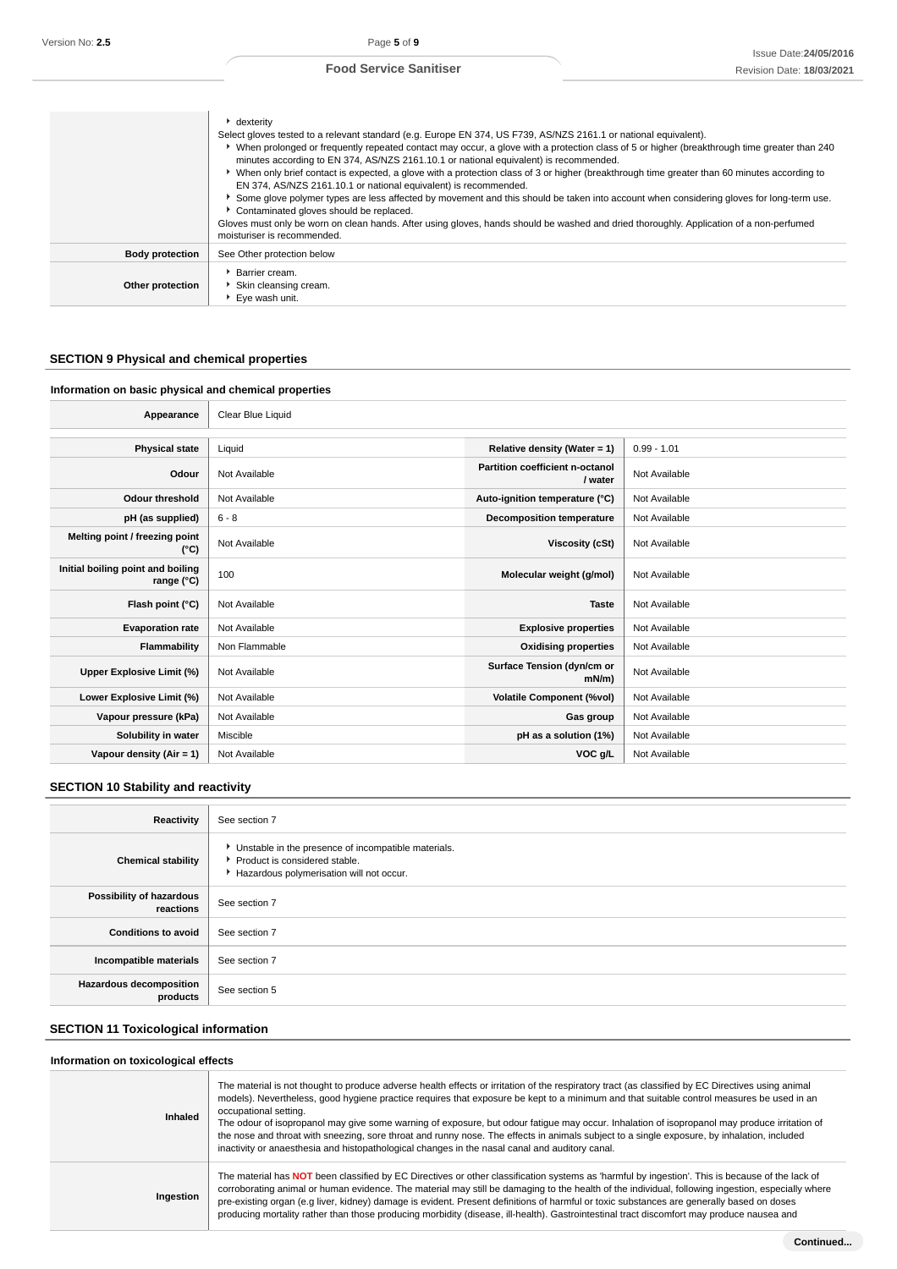|                        | $\cdot$ dexterity<br>Select gloves tested to a relevant standard (e.g. Europe EN 374, US F739, AS/NZS 2161.1 or national equivalent).<br>• When prolonged or frequently repeated contact may occur, a glove with a protection class of 5 or higher (breakthrough time greater than 240<br>minutes according to EN 374, AS/NZS 2161.10.1 or national equivalent) is recommended.<br>▶ When only brief contact is expected, a glove with a protection class of 3 or higher (breakthrough time greater than 60 minutes according to<br>EN 374, AS/NZS 2161.10.1 or national equivalent) is recommended.<br>▶ Some glove polymer types are less affected by movement and this should be taken into account when considering gloves for long-term use.<br>Contaminated gloves should be replaced.<br>Gloves must only be worn on clean hands. After using gloves, hands should be washed and dried thoroughly. Application of a non-perfumed<br>moisturiser is recommended. |
|------------------------|------------------------------------------------------------------------------------------------------------------------------------------------------------------------------------------------------------------------------------------------------------------------------------------------------------------------------------------------------------------------------------------------------------------------------------------------------------------------------------------------------------------------------------------------------------------------------------------------------------------------------------------------------------------------------------------------------------------------------------------------------------------------------------------------------------------------------------------------------------------------------------------------------------------------------------------------------------------------|
| <b>Body protection</b> | See Other protection below                                                                                                                                                                                                                                                                                                                                                                                                                                                                                                                                                                                                                                                                                                                                                                                                                                                                                                                                             |
| Other protection       | Barrier cream.<br>Skin cleansing cream.<br>▶ Eye wash unit.                                                                                                                                                                                                                                                                                                                                                                                                                                                                                                                                                                                                                                                                                                                                                                                                                                                                                                            |

# **SECTION 9 Physical and chemical properties**

# **Information on basic physical and chemical properties**

| Appearance                                               | Clear Blue Liquid |                                                   |               |
|----------------------------------------------------------|-------------------|---------------------------------------------------|---------------|
|                                                          |                   |                                                   |               |
| <b>Physical state</b>                                    | Liquid            | Relative density (Water = 1)                      | $0.99 - 1.01$ |
| Odour                                                    | Not Available     | <b>Partition coefficient n-octanol</b><br>/ water | Not Available |
| <b>Odour threshold</b>                                   | Not Available     | Auto-ignition temperature (°C)                    | Not Available |
| pH (as supplied)                                         | $6 - 8$           | <b>Decomposition temperature</b>                  | Not Available |
| Melting point / freezing point<br>(°C)                   | Not Available     | Viscosity (cSt)                                   | Not Available |
| Initial boiling point and boiling<br>range $(^{\circ}C)$ | 100               | Molecular weight (g/mol)                          | Not Available |
| Flash point (°C)                                         | Not Available     | <b>Taste</b>                                      | Not Available |
| <b>Evaporation rate</b>                                  | Not Available     | <b>Explosive properties</b>                       | Not Available |
| <b>Flammability</b>                                      | Non Flammable     | <b>Oxidising properties</b>                       | Not Available |
| Upper Explosive Limit (%)                                | Not Available     | Surface Tension (dyn/cm or<br>$mN/m$ )            | Not Available |
| Lower Explosive Limit (%)                                | Not Available     | <b>Volatile Component (%vol)</b>                  | Not Available |
| Vapour pressure (kPa)                                    | Not Available     | Gas group                                         | Not Available |
| Solubility in water                                      | Miscible          | pH as a solution (1%)                             | Not Available |
| Vapour density (Air = 1)                                 | Not Available     | VOC g/L                                           | Not Available |

# **SECTION 10 Stability and reactivity**

| Reactivity                            | See section 7                                                                                                                      |
|---------------------------------------|------------------------------------------------------------------------------------------------------------------------------------|
| <b>Chemical stability</b>             | • Unstable in the presence of incompatible materials.<br>Product is considered stable.<br>Hazardous polymerisation will not occur. |
| Possibility of hazardous<br>reactions | See section 7                                                                                                                      |
| <b>Conditions to avoid</b>            | See section 7                                                                                                                      |
| Incompatible materials                | See section 7                                                                                                                      |
| Hazardous decomposition<br>products   | See section 5                                                                                                                      |

# **SECTION 11 Toxicological information**

#### **Information on toxicological effects**

| Inhaled   | The material is not thought to produce adverse health effects or irritation of the respiratory tract (as classified by EC Directives using animal<br>models). Nevertheless, good hygiene practice requires that exposure be kept to a minimum and that suitable control measures be used in an<br>occupational setting.<br>The odour of isopropanol may give some warning of exposure, but odour fatigue may occur. Inhalation of isopropanol may produce irritation of<br>the nose and throat with sneezing, sore throat and runny nose. The effects in animals subject to a single exposure, by inhalation, included<br>inactivity or anaesthesia and histopathological changes in the nasal canal and auditory canal. |
|-----------|--------------------------------------------------------------------------------------------------------------------------------------------------------------------------------------------------------------------------------------------------------------------------------------------------------------------------------------------------------------------------------------------------------------------------------------------------------------------------------------------------------------------------------------------------------------------------------------------------------------------------------------------------------------------------------------------------------------------------|
| Ingestion | The material has NOT been classified by EC Directives or other classification systems as 'harmful by ingestion'. This is because of the lack of<br>corroborating animal or human evidence. The material may still be damaging to the health of the individual, following ingestion, especially where<br>pre-existing organ (e.g liver, kidney) damage is evident. Present definitions of harmful or toxic substances are generally based on doses<br>producing mortality rather than those producing morbidity (disease, ill-health). Gastrointestinal tract discomfort may produce nausea and                                                                                                                           |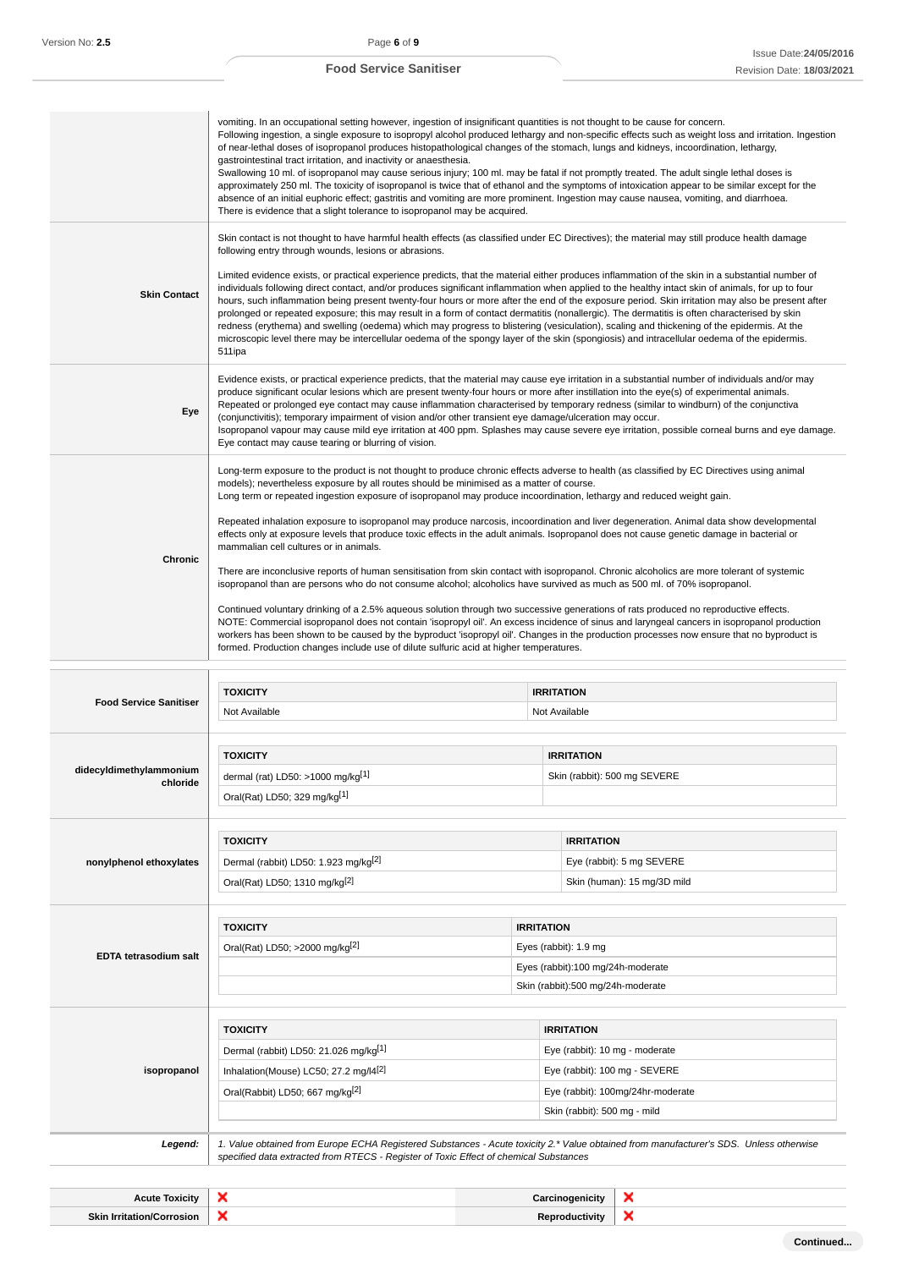# Issue Date:**24/05/2016** Revision Date: **18/03/2021**

|                                     | vomiting. In an occupational setting however, ingestion of insignificant quantities is not thought to be cause for concern.<br>of near-lethal doses of isopropanol produces histopathological changes of the stomach, lungs and kidneys, incoordination, lethargy,<br>gastrointestinal tract irritation, and inactivity or anaesthesia.<br>There is evidence that a slight tolerance to isopropanol may be acquired.                                                             |                   | Following ingestion, a single exposure to isopropyl alcohol produced lethargy and non-specific effects such as weight loss and irritation. Ingestion<br>Swallowing 10 ml. of isopropanol may cause serious injury; 100 ml. may be fatal if not promptly treated. The adult single lethal doses is<br>approximately 250 ml. The toxicity of isopropanol is twice that of ethanol and the symptoms of intoxication appear to be similar except for the<br>absence of an initial euphoric effect; gastritis and vomiting are more prominent. Ingestion may cause nausea, vomiting, and diarrhoea.                                                                                                                                                                                                                                                                                                                                                                                                                                                        |
|-------------------------------------|----------------------------------------------------------------------------------------------------------------------------------------------------------------------------------------------------------------------------------------------------------------------------------------------------------------------------------------------------------------------------------------------------------------------------------------------------------------------------------|-------------------|-------------------------------------------------------------------------------------------------------------------------------------------------------------------------------------------------------------------------------------------------------------------------------------------------------------------------------------------------------------------------------------------------------------------------------------------------------------------------------------------------------------------------------------------------------------------------------------------------------------------------------------------------------------------------------------------------------------------------------------------------------------------------------------------------------------------------------------------------------------------------------------------------------------------------------------------------------------------------------------------------------------------------------------------------------|
| <b>Skin Contact</b>                 | following entry through wounds, lesions or abrasions.                                                                                                                                                                                                                                                                                                                                                                                                                            |                   | Skin contact is not thought to have harmful health effects (as classified under EC Directives); the material may still produce health damage<br>Limited evidence exists, or practical experience predicts, that the material either produces inflammation of the skin in a substantial number of<br>individuals following direct contact, and/or produces significant inflammation when applied to the healthy intact skin of animals, for up to four<br>hours, such inflammation being present twenty-four hours or more after the end of the exposure period. Skin irritation may also be present after<br>prolonged or repeated exposure; this may result in a form of contact dermatitis (nonallergic). The dermatitis is often characterised by skin<br>redness (erythema) and swelling (oedema) which may progress to blistering (vesiculation), scaling and thickening of the epidermis. At the<br>microscopic level there may be intercellular oedema of the spongy layer of the skin (spongiosis) and intracellular oedema of the epidermis. |
| Eye                                 | 511ipa<br>(conjunctivitis); temporary impairment of vision and/or other transient eye damage/ulceration may occur.<br>Eye contact may cause tearing or blurring of vision.                                                                                                                                                                                                                                                                                                       |                   | Evidence exists, or practical experience predicts, that the material may cause eye irritation in a substantial number of individuals and/or may<br>produce significant ocular lesions which are present twenty-four hours or more after instillation into the eye(s) of experimental animals.<br>Repeated or prolonged eye contact may cause inflammation characterised by temporary redness (similar to windburn) of the conjunctiva<br>Isopropanol vapour may cause mild eye irritation at 400 ppm. Splashes may cause severe eye irritation, possible corneal burns and eye damage.                                                                                                                                                                                                                                                                                                                                                                                                                                                                |
| Chronic                             | models); nevertheless exposure by all routes should be minimised as a matter of course.<br>Long term or repeated ingestion exposure of isopropanol may produce incoordination, lethargy and reduced weight gain.<br>mammalian cell cultures or in animals.<br>isopropanol than are persons who do not consume alcohol; alcoholics have survived as much as 500 ml. of 70% isopropanol.<br>formed. Production changes include use of dilute sulfuric acid at higher temperatures. |                   | Long-term exposure to the product is not thought to produce chronic effects adverse to health (as classified by EC Directives using animal<br>Repeated inhalation exposure to isopropanol may produce narcosis, incoordination and liver degeneration. Animal data show developmental<br>effects only at exposure levels that produce toxic effects in the adult animals. Isopropanol does not cause genetic damage in bacterial or<br>There are inconclusive reports of human sensitisation from skin contact with isopropanol. Chronic alcoholics are more tolerant of systemic<br>Continued voluntary drinking of a 2.5% aqueous solution through two successive generations of rats produced no reproductive effects.<br>NOTE: Commercial isopropanol does not contain 'isopropyl oil'. An excess incidence of sinus and laryngeal cancers in isopropanol production<br>workers has been shown to be caused by the byproduct 'isopropyl oil'. Changes in the production processes now ensure that no byproduct is                                 |
| <b>Food Service Sanitiser</b>       | <b>TOXICITY</b><br>Not Available                                                                                                                                                                                                                                                                                                                                                                                                                                                 |                   | <b>IRRITATION</b><br>Not Available                                                                                                                                                                                                                                                                                                                                                                                                                                                                                                                                                                                                                                                                                                                                                                                                                                                                                                                                                                                                                    |
| didecyldimethylammonium<br>chloride | <b>TOXICITY</b><br>dermal (rat) LD50: >1000 mg/kg <sup>[1]</sup><br>Oral(Rat) LD50; 329 mg/kg[1]                                                                                                                                                                                                                                                                                                                                                                                 |                   | <b>IRRITATION</b><br>Skin (rabbit): 500 mg SEVERE                                                                                                                                                                                                                                                                                                                                                                                                                                                                                                                                                                                                                                                                                                                                                                                                                                                                                                                                                                                                     |
| nonylphenol ethoxylates             | <b>TOXICITY</b><br>Dermal (rabbit) LD50: 1.923 mg/kg <sup>[2]</sup><br>Oral(Rat) LD50; 1310 mg/kg <sup>[2]</sup>                                                                                                                                                                                                                                                                                                                                                                 |                   | <b>IRRITATION</b><br>Eye (rabbit): 5 mg SEVERE<br>Skin (human): 15 mg/3D mild                                                                                                                                                                                                                                                                                                                                                                                                                                                                                                                                                                                                                                                                                                                                                                                                                                                                                                                                                                         |
| EDTA tetrasodium salt               | <b>TOXICITY</b><br>Oral(Rat) LD50; >2000 mg/kg <sup>[2]</sup>                                                                                                                                                                                                                                                                                                                                                                                                                    | <b>IRRITATION</b> | Eyes (rabbit): 1.9 mg<br>Eyes (rabbit):100 mg/24h-moderate<br>Skin (rabbit):500 mg/24h-moderate                                                                                                                                                                                                                                                                                                                                                                                                                                                                                                                                                                                                                                                                                                                                                                                                                                                                                                                                                       |
| isopropanol                         | <b>TOXICITY</b><br>Dermal (rabbit) LD50: 21.026 mg/kg <sup>[1]</sup><br>Inhalation(Mouse) LC50; 27.2 mg/l4 <sup>[2]</sup><br>Oral(Rabbit) LD50; 667 mg/kg <sup>[2]</sup>                                                                                                                                                                                                                                                                                                         |                   | <b>IRRITATION</b><br>Eye (rabbit): 10 mg - moderate<br>Eye (rabbit): 100 mg - SEVERE<br>Eye (rabbit): 100mg/24hr-moderate<br>Skin (rabbit): 500 mg - mild                                                                                                                                                                                                                                                                                                                                                                                                                                                                                                                                                                                                                                                                                                                                                                                                                                                                                             |

Legend: | 1. Value obtained from Europe ECHA Registered Substances - Acute toxicity 2.\* Value obtained from manufacturer's SDS. Unless otherwise specified data extracted from RTECS - Register of Toxic Effect of chemical Substances

| <b>Acute Toxicity</b>              | $\overline{\phantom{a}}$ | ogenicity<br>Carcinc | . . |
|------------------------------------|--------------------------|----------------------|-----|
| <b>Skin In</b><br>tation/Corrosion | $\overline{\phantom{a}}$ | uctivity.            | .   |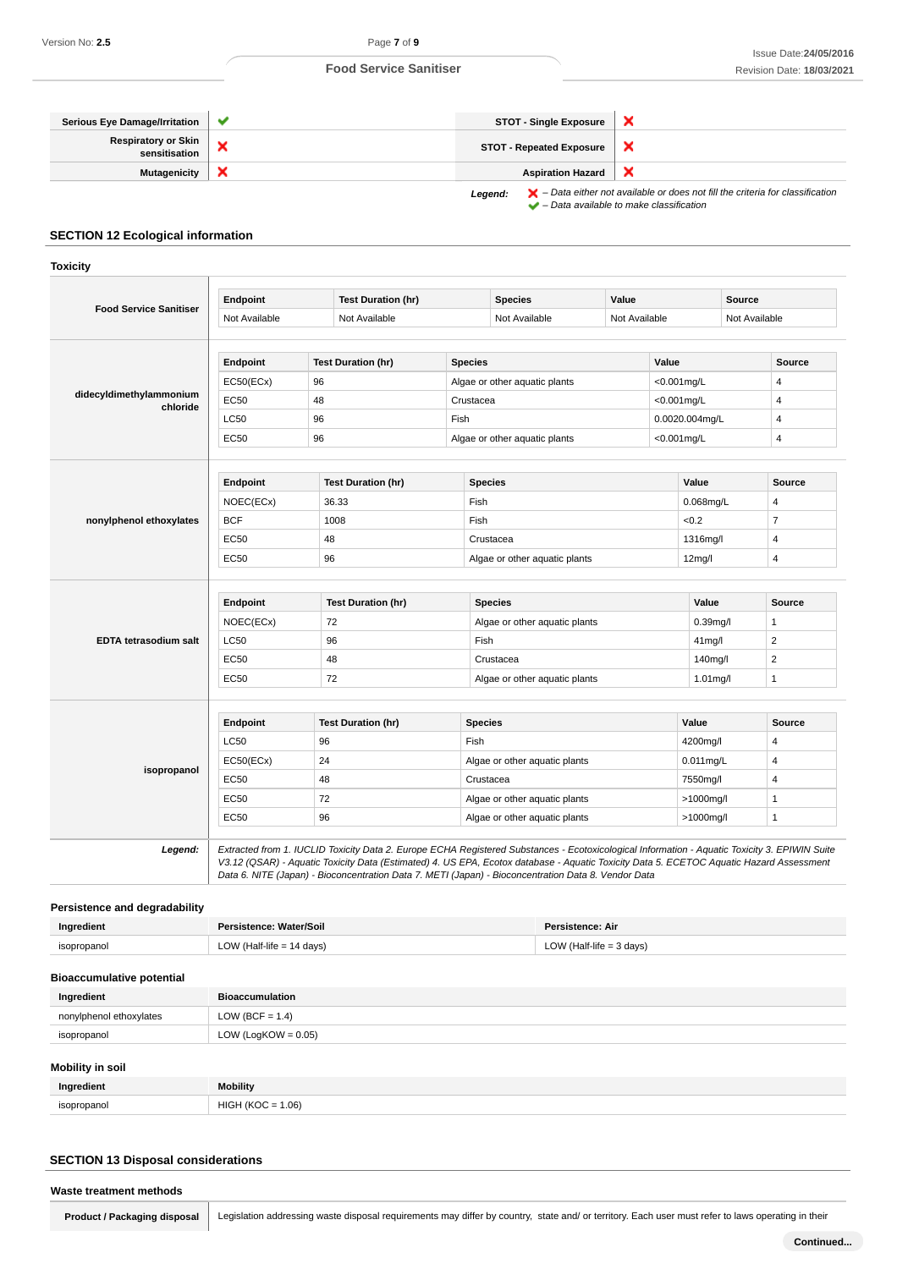

# **SECTION 12 Ecological information**

|                                      | Endpoint                               | <b>Test Duration (hr)</b>                                                                                                                                                                                                                                                                                                                                                                       |                | <b>Species</b>                | Value                   |                | Source        |                         |
|--------------------------------------|----------------------------------------|-------------------------------------------------------------------------------------------------------------------------------------------------------------------------------------------------------------------------------------------------------------------------------------------------------------------------------------------------------------------------------------------------|----------------|-------------------------------|-------------------------|----------------|---------------|-------------------------|
| <b>Food Service Sanitiser</b>        | Not Available                          | Not Available                                                                                                                                                                                                                                                                                                                                                                                   |                | Not Available                 | Not Available           |                | Not Available |                         |
|                                      | Endpoint                               | <b>Test Duration (hr)</b>                                                                                                                                                                                                                                                                                                                                                                       | <b>Species</b> |                               |                         | Value          |               | <b>Source</b>           |
|                                      | EC50(ECx)                              | 96                                                                                                                                                                                                                                                                                                                                                                                              |                |                               |                         | $<$ 0.001mg/L  |               |                         |
| didecyldimethylammonium              | <b>EC50</b>                            | 48                                                                                                                                                                                                                                                                                                                                                                                              | Crustacea      | Algae or other aquatic plants |                         | $<$ 0.001mg/L  |               | 4<br>4                  |
| chloride                             | <b>LC50</b>                            | 96                                                                                                                                                                                                                                                                                                                                                                                              | Fish           |                               |                         | 0.0020.004mg/L |               | 4                       |
|                                      | <b>EC50</b>                            | 96                                                                                                                                                                                                                                                                                                                                                                                              |                | Algae or other aquatic plants |                         | $<$ 0.001mg/L  |               | 4                       |
|                                      | Endpoint                               | <b>Test Duration (hr)</b>                                                                                                                                                                                                                                                                                                                                                                       |                | <b>Species</b>                |                         | Value          |               | <b>Source</b>           |
|                                      | NOEC(ECx)                              | 36.33                                                                                                                                                                                                                                                                                                                                                                                           | Fish           |                               |                         | 0.068mg/L      |               | 4                       |
| nonylphenol ethoxylates              | <b>BCF</b>                             | 1008                                                                                                                                                                                                                                                                                                                                                                                            | Fish           |                               |                         | <0.2           |               | $\overline{7}$          |
|                                      | <b>EC50</b>                            | 48                                                                                                                                                                                                                                                                                                                                                                                              |                | Crustacea                     |                         | 1316mg/l       |               | 4                       |
|                                      | <b>EC50</b>                            |                                                                                                                                                                                                                                                                                                                                                                                                 |                |                               |                         |                |               |                         |
|                                      |                                        | 96                                                                                                                                                                                                                                                                                                                                                                                              |                | Algae or other aquatic plants |                         | 12mg/l         |               | 4                       |
|                                      | Endpoint                               | <b>Test Duration (hr)</b>                                                                                                                                                                                                                                                                                                                                                                       |                | <b>Species</b>                |                         | Value          |               | <b>Source</b>           |
| EDTA tetrasodium salt                | NOEC(ECx)                              | 72                                                                                                                                                                                                                                                                                                                                                                                              |                | Algae or other aquatic plants |                         | $0.39$ mg/l    |               | 1                       |
|                                      | LC50                                   | 96                                                                                                                                                                                                                                                                                                                                                                                              |                | Fish                          |                         | 41mg/l         |               | $\overline{\mathbf{c}}$ |
|                                      | <b>EC50</b>                            | 48                                                                                                                                                                                                                                                                                                                                                                                              |                | Crustacea                     |                         | 140mg/l        |               | 2                       |
|                                      | <b>EC50</b>                            | 72                                                                                                                                                                                                                                                                                                                                                                                              |                | Algae or other aquatic plants |                         | 1.01mg/l       |               | 1                       |
|                                      | Endpoint                               | <b>Test Duration (hr)</b>                                                                                                                                                                                                                                                                                                                                                                       |                | <b>Species</b>                |                         | Value          |               | Source                  |
|                                      | LC50                                   | 96                                                                                                                                                                                                                                                                                                                                                                                              | Fish           |                               |                         | 4200mg/l       |               | 4                       |
|                                      | EC50(ECx)                              | 24                                                                                                                                                                                                                                                                                                                                                                                              |                | Algae or other aquatic plants |                         | 0.011mg/L      |               | 4                       |
| isopropanol                          | <b>EC50</b>                            | 48                                                                                                                                                                                                                                                                                                                                                                                              |                | Crustacea                     |                         | 7550mg/l       |               | 4                       |
|                                      |                                        |                                                                                                                                                                                                                                                                                                                                                                                                 |                | Algae or other aquatic plants |                         |                |               |                         |
|                                      | <b>EC50</b>                            | 72                                                                                                                                                                                                                                                                                                                                                                                              |                |                               |                         | >1000mg/l      |               | 1                       |
|                                      | <b>EC50</b>                            | 96                                                                                                                                                                                                                                                                                                                                                                                              |                | Algae or other aquatic plants |                         | >1000mg/l      |               | $\mathbf{1}$            |
| Legend:                              |                                        | Extracted from 1. IUCLID Toxicity Data 2. Europe ECHA Registered Substances - Ecotoxicological Information - Aquatic Toxicity 3. EPIWIN Suite<br>V3.12 (QSAR) - Aquatic Toxicity Data (Estimated) 4. US EPA, Ecotox database - Aquatic Toxicity Data 5. ECETOC Aquatic Hazard Assessment<br>Data 6. NITE (Japan) - Bioconcentration Data 7. METI (Japan) - Bioconcentration Data 8. Vendor Data |                |                               |                         |                |               |                         |
| <b>Persistence and degradability</b> |                                        |                                                                                                                                                                                                                                                                                                                                                                                                 |                |                               |                         |                |               |                         |
| Ingredient                           | Persistence: Water/Soil                |                                                                                                                                                                                                                                                                                                                                                                                                 |                |                               | <b>Persistence: Air</b> |                |               |                         |
| isopropanol                          | LOW (Half-life $= 14$ days)            |                                                                                                                                                                                                                                                                                                                                                                                                 |                | LOW (Half-life $=$ 3 days)    |                         |                |               |                         |
| <b>Bioaccumulative potential</b>     |                                        |                                                                                                                                                                                                                                                                                                                                                                                                 |                |                               |                         |                |               |                         |
| Ingredient                           | <b>Bioaccumulation</b>                 |                                                                                                                                                                                                                                                                                                                                                                                                 |                |                               |                         |                |               |                         |
| nonylphenol ethoxylates              | LOW (BCF = $1.4$ )                     |                                                                                                                                                                                                                                                                                                                                                                                                 |                |                               |                         |                |               |                         |
| isopropanol                          | LOW (LogKOW = $0.05$ )                 |                                                                                                                                                                                                                                                                                                                                                                                                 |                |                               |                         |                |               |                         |
|                                      |                                        |                                                                                                                                                                                                                                                                                                                                                                                                 |                |                               |                         |                |               |                         |
| <b>Mobility in soil</b>              |                                        |                                                                                                                                                                                                                                                                                                                                                                                                 |                |                               |                         |                |               |                         |
| Ingredient<br>isopropanol            | <b>Mobility</b><br>$HIGH (KOC = 1.06)$ |                                                                                                                                                                                                                                                                                                                                                                                                 |                |                               |                         |                |               |                         |

# **SECTION 13 Disposal considerations**

|  | Waste treatment methods |  |  |
|--|-------------------------|--|--|
|--|-------------------------|--|--|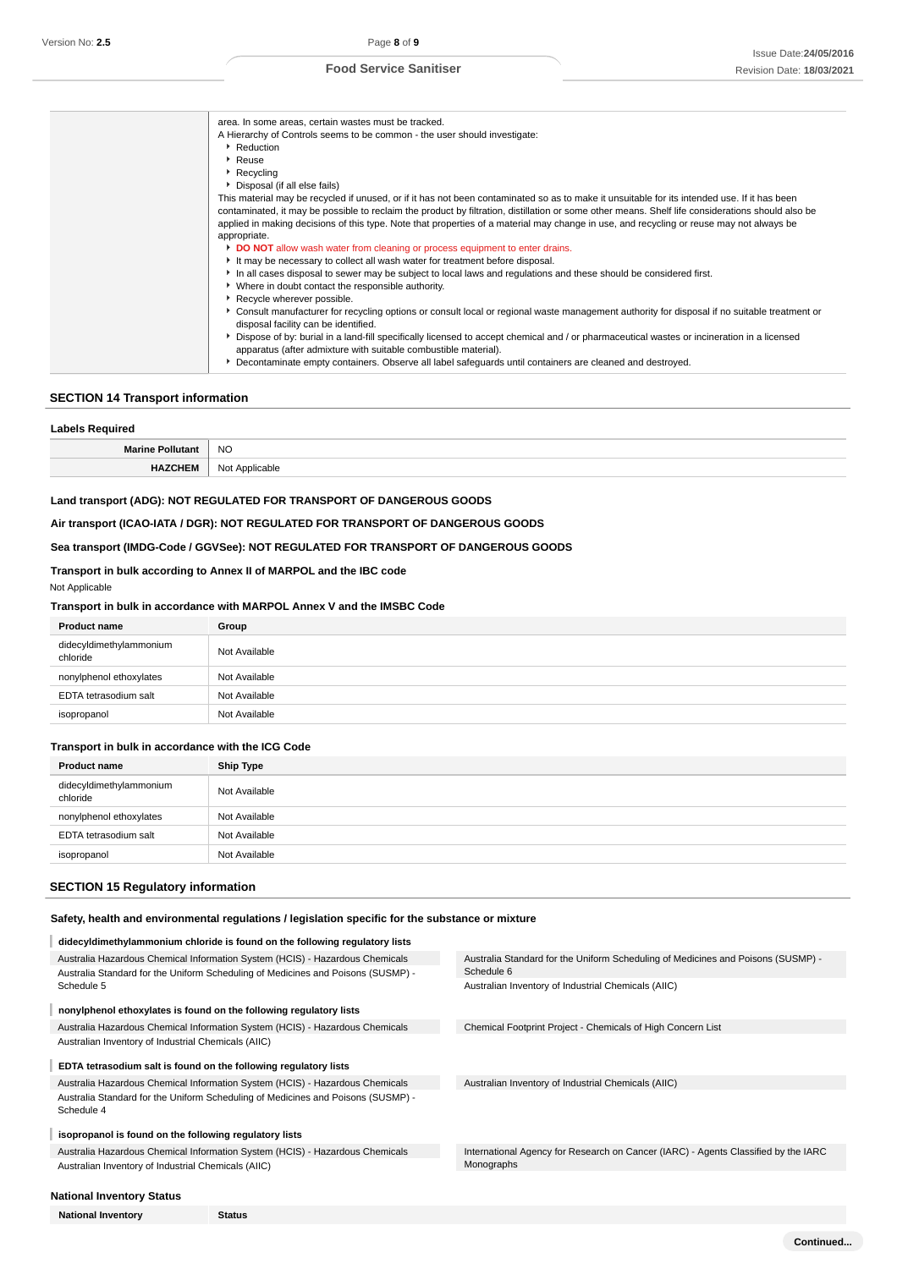| area. In some areas, certain wastes must be tracked.                                                                                                                                                                                                                                                                                                                                                                                          |
|-----------------------------------------------------------------------------------------------------------------------------------------------------------------------------------------------------------------------------------------------------------------------------------------------------------------------------------------------------------------------------------------------------------------------------------------------|
| A Hierarchy of Controls seems to be common - the user should investigate:                                                                                                                                                                                                                                                                                                                                                                     |
| Reduction                                                                                                                                                                                                                                                                                                                                                                                                                                     |
| Reuse                                                                                                                                                                                                                                                                                                                                                                                                                                         |
| Recycling                                                                                                                                                                                                                                                                                                                                                                                                                                     |
| • Disposal (if all else fails)                                                                                                                                                                                                                                                                                                                                                                                                                |
| This material may be recycled if unused, or if it has not been contaminated so as to make it unsuitable for its intended use. If it has been<br>contaminated, it may be possible to reclaim the product by filtration, distillation or some other means. Shelf life considerations should also be<br>applied in making decisions of this type. Note that properties of a material may change in use, and recycling or reuse may not always be |
| appropriate.                                                                                                                                                                                                                                                                                                                                                                                                                                  |
| <b>DO NOT</b> allow wash water from cleaning or process equipment to enter drains.                                                                                                                                                                                                                                                                                                                                                            |
| It may be necessary to collect all wash water for treatment before disposal.                                                                                                                                                                                                                                                                                                                                                                  |
| In all cases disposal to sewer may be subject to local laws and regulations and these should be considered first.<br>• Where in doubt contact the responsible authority.                                                                                                                                                                                                                                                                      |
| Recycle wherever possible.                                                                                                                                                                                                                                                                                                                                                                                                                    |
| ▶ Consult manufacturer for recycling options or consult local or regional waste management authority for disposal if no suitable treatment or<br>disposal facility can be identified.                                                                                                                                                                                                                                                         |
| ▶ Dispose of by: burial in a land-fill specifically licensed to accept chemical and / or pharmaceutical wastes or incineration in a licensed<br>apparatus (after admixture with suitable combustible material).                                                                                                                                                                                                                               |
| Decontaminate empty containers. Observe all label safeguards until containers are cleaned and destroyed.                                                                                                                                                                                                                                                                                                                                      |

#### **SECTION 14 Transport information**

| <b>Labels Required</b>  |                |  |
|-------------------------|----------------|--|
| <b>Marine Pollutant</b> | <b>NO</b>      |  |
| <b>HAZCHEM</b>          | Not Applicable |  |

### **Land transport (ADG): NOT REGULATED FOR TRANSPORT OF DANGEROUS GOODS**

**Air transport (ICAO-IATA / DGR): NOT REGULATED FOR TRANSPORT OF DANGEROUS GOODS**

# **Sea transport (IMDG-Code / GGVSee): NOT REGULATED FOR TRANSPORT OF DANGEROUS GOODS**

### **Transport in bulk according to Annex II of MARPOL and the IBC code**

Not Applicable

# **Transport in bulk in accordance with MARPOL Annex V and the IMSBC Code**

| <b>Product name</b>                 | Group         |
|-------------------------------------|---------------|
| didecyldimethylammonium<br>chloride | Not Available |
| nonylphenol ethoxylates             | Not Available |
| EDTA tetrasodium salt               | Not Available |
| isopropanol                         | Not Available |

#### **Transport in bulk in accordance with the ICG Code**

| <b>Product name</b>                 | <b>Ship Type</b> |
|-------------------------------------|------------------|
| didecyldimethylammonium<br>chloride | Not Available    |
| nonylphenol ethoxylates             | Not Available    |
| EDTA tetrasodium salt               | Not Available    |
| isopropanol                         | Not Available    |

#### **SECTION 15 Regulatory information**

#### **Safety, health and environmental regulations / legislation specific for the substance or mixture**

| didecyldimethylammonium chloride is found on the following regulatory lists                    |                                                                                                  |
|------------------------------------------------------------------------------------------------|--------------------------------------------------------------------------------------------------|
| Australia Hazardous Chemical Information System (HCIS) - Hazardous Chemicals                   | Australia Standard for the Uniform Scheduling of Medicines and Poisons (SUSMP) -                 |
| Australia Standard for the Uniform Scheduling of Medicines and Poisons (SUSMP) -               | Schedule 6                                                                                       |
| Schedule 5                                                                                     | Australian Inventory of Industrial Chemicals (AIIC)                                              |
| nonylphenol ethoxylates is found on the following regulatory lists                             |                                                                                                  |
| Australia Hazardous Chemical Information System (HCIS) - Hazardous Chemicals                   | Chemical Footprint Project - Chemicals of High Concern List                                      |
| Australian Inventory of Industrial Chemicals (AIIC)                                            |                                                                                                  |
| EDTA tetrasodium salt is found on the following regulatory lists                               |                                                                                                  |
| Australia Hazardous Chemical Information System (HCIS) - Hazardous Chemicals                   | Australian Inventory of Industrial Chemicals (AIIC)                                              |
| Australia Standard for the Uniform Scheduling of Medicines and Poisons (SUSMP) -<br>Schedule 4 |                                                                                                  |
| isopropanol is found on the following regulatory lists                                         |                                                                                                  |
| Australia Hazardous Chemical Information System (HCIS) - Hazardous Chemicals                   | International Agency for Research on Cancer (IARC) - Agents Classified by the IARC<br>Monographs |
| Australian Inventory of Industrial Chemicals (AIIC)                                            |                                                                                                  |
|                                                                                                |                                                                                                  |
| <b>National Inventory Status</b>                                                               |                                                                                                  |
| <b>National Inventory</b><br><b>Status</b>                                                     |                                                                                                  |